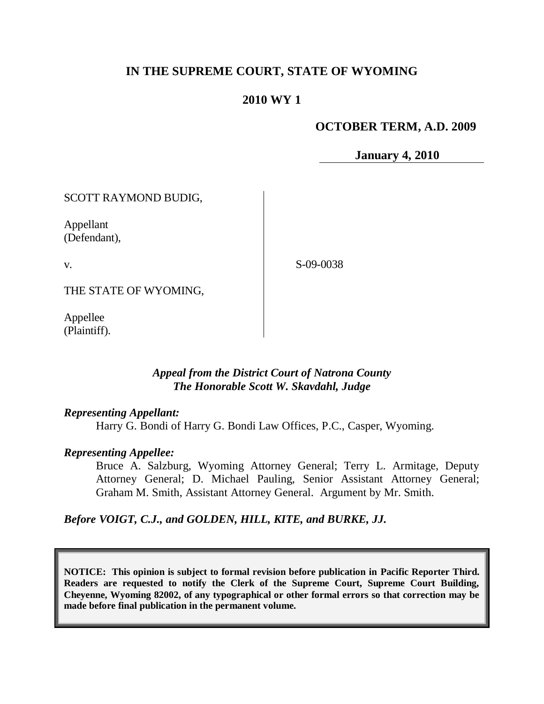# **IN THE SUPREME COURT, STATE OF WYOMING**

## **2010 WY 1**

### **OCTOBER TERM, A.D. 2009**

**January 4, 2010**

SCOTT RAYMOND BUDIG,

Appellant (Defendant),

v.

S-09-0038

THE STATE OF WYOMING,

Appellee (Plaintiff).

### *Appeal from the District Court of Natrona County The Honorable Scott W. Skavdahl, Judge*

#### *Representing Appellant:*

Harry G. Bondi of Harry G. Bondi Law Offices, P.C., Casper, Wyoming.

#### *Representing Appellee:*

Bruce A. Salzburg, Wyoming Attorney General; Terry L. Armitage, Deputy Attorney General; D. Michael Pauling, Senior Assistant Attorney General; Graham M. Smith, Assistant Attorney General. Argument by Mr. Smith.

*Before VOIGT, C.J., and GOLDEN, HILL, KITE, and BURKE, JJ.*

**NOTICE: This opinion is subject to formal revision before publication in Pacific Reporter Third. Readers are requested to notify the Clerk of the Supreme Court, Supreme Court Building, Cheyenne, Wyoming 82002, of any typographical or other formal errors so that correction may be made before final publication in the permanent volume.**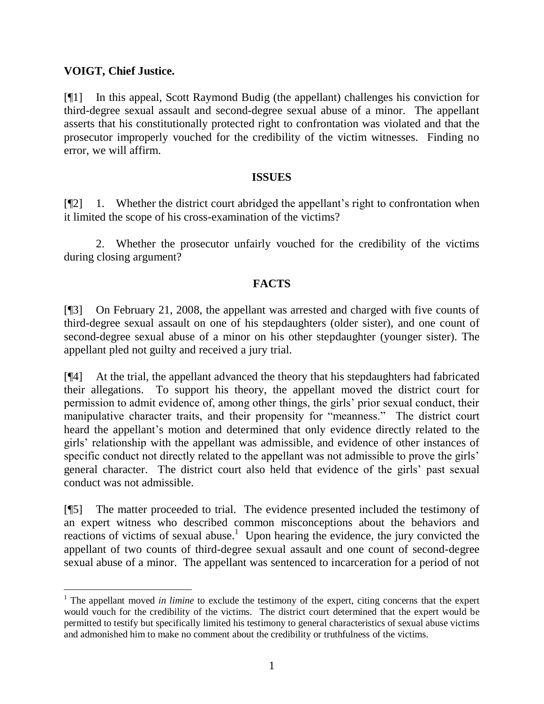## **VOIGT, Chief Justice.**

 $\overline{a}$ 

[¶1] In this appeal, Scott Raymond Budig (the appellant) challenges his conviction for third-degree sexual assault and second-degree sexual abuse of a minor. The appellant asserts that his constitutionally protected right to confrontation was violated and that the prosecutor improperly vouched for the credibility of the victim witnesses. Finding no error, we will affirm.

#### **ISSUES**

[¶2] 1. Whether the district court abridged the appellant's right to confrontation when it limited the scope of his cross-examination of the victims?

2. Whether the prosecutor unfairly vouched for the credibility of the victims during closing argument?

### **FACTS**

[¶3] On February 21, 2008, the appellant was arrested and charged with five counts of third-degree sexual assault on one of his stepdaughters (older sister), and one count of second-degree sexual abuse of a minor on his other stepdaughter (younger sister). The appellant pled not guilty and received a jury trial.

[¶4] At the trial, the appellant advanced the theory that his stepdaughters had fabricated their allegations. To support his theory, the appellant moved the district court for permission to admit evidence of, among other things, the girls" prior sexual conduct, their manipulative character traits, and their propensity for "meanness." The district court heard the appellant"s motion and determined that only evidence directly related to the girls" relationship with the appellant was admissible, and evidence of other instances of specific conduct not directly related to the appellant was not admissible to prove the girls' general character. The district court also held that evidence of the girls" past sexual conduct was not admissible.

[¶5] The matter proceeded to trial. The evidence presented included the testimony of an expert witness who described common misconceptions about the behaviors and reactions of victims of sexual abuse.<sup>1</sup> Upon hearing the evidence, the jury convicted the appellant of two counts of third-degree sexual assault and one count of second-degree sexual abuse of a minor. The appellant was sentenced to incarceration for a period of not

<sup>&</sup>lt;sup>1</sup> The appellant moved *in limine* to exclude the testimony of the expert, citing concerns that the expert would vouch for the credibility of the victims. The district court determined that the expert would be permitted to testify but specifically limited his testimony to general characteristics of sexual abuse victims and admonished him to make no comment about the credibility or truthfulness of the victims.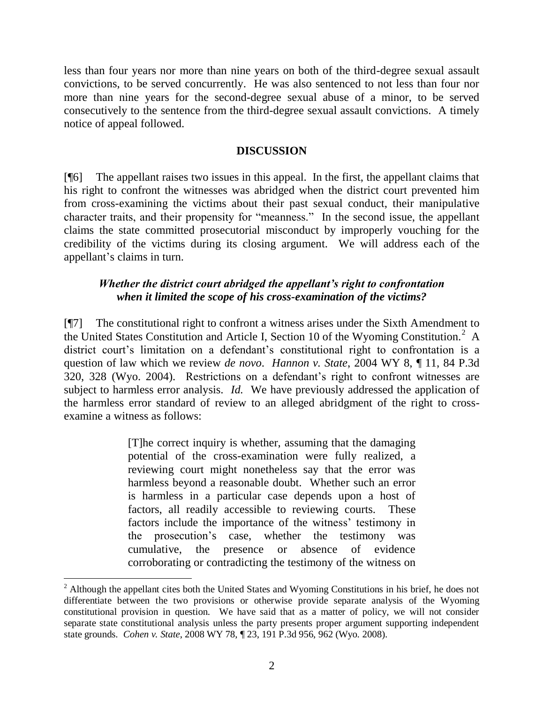less than four years nor more than nine years on both of the third-degree sexual assault convictions, to be served concurrently. He was also sentenced to not less than four nor more than nine years for the second-degree sexual abuse of a minor, to be served consecutively to the sentence from the third-degree sexual assault convictions. A timely notice of appeal followed.

#### **DISCUSSION**

[¶6] The appellant raises two issues in this appeal. In the first, the appellant claims that his right to confront the witnesses was abridged when the district court prevented him from cross-examining the victims about their past sexual conduct, their manipulative character traits, and their propensity for "meanness." In the second issue, the appellant claims the state committed prosecutorial misconduct by improperly vouching for the credibility of the victims during its closing argument. We will address each of the appellant"s claims in turn.

## *Whether the district court abridged the appellant's right to confrontation when it limited the scope of his cross-examination of the victims?*

[¶7] The constitutional right to confront a witness arises under the Sixth Amendment to the United States Constitution and Article I, Section 10 of the Wyoming Constitution.<sup>2</sup> A district court's limitation on a defendant's constitutional right to confrontation is a question of law which we review *de novo*. *Hannon v. State*, 2004 WY 8, ¶ 11, 84 P.3d 320, 328 (Wyo. 2004). Restrictions on a defendant"s right to confront witnesses are subject to harmless error analysis. *Id.* We have previously addressed the application of the harmless error standard of review to an alleged abridgment of the right to crossexamine a witness as follows:

> [T]he correct inquiry is whether, assuming that the damaging potential of the cross-examination were fully realized, a reviewing court might nonetheless say that the error was harmless beyond a reasonable doubt. Whether such an error is harmless in a particular case depends upon a host of factors, all readily accessible to reviewing courts. These factors include the importance of the witness' testimony in the prosecution"s case, whether the testimony was cumulative, the presence or absence of evidence corroborating or contradicting the testimony of the witness on

 $\overline{a}$ 

<sup>&</sup>lt;sup>2</sup> Although the appellant cites both the United States and Wyoming Constitutions in his brief, he does not differentiate between the two provisions or otherwise provide separate analysis of the Wyoming constitutional provision in question. We have said that as a matter of policy, we will not consider separate state constitutional analysis unless the party presents proper argument supporting independent state grounds. *Cohen v. State*, 2008 WY 78, ¶ 23, 191 P.3d 956, 962 (Wyo. 2008).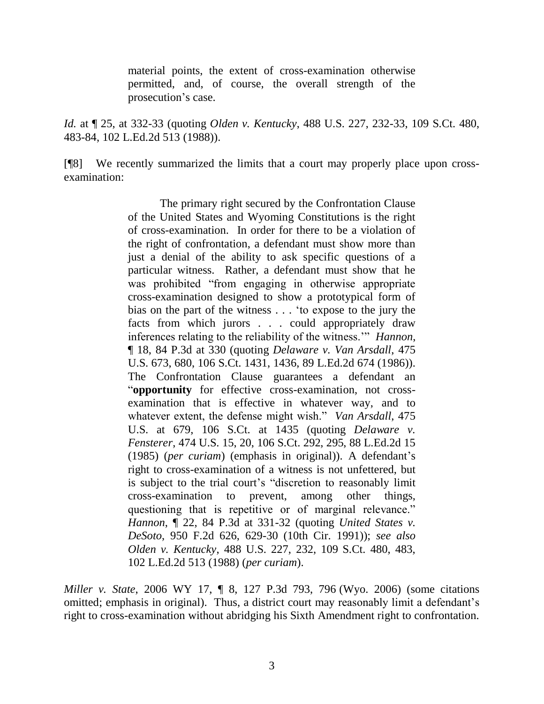material points, the extent of cross-examination otherwise permitted, and, of course, the overall strength of the prosecution's case.

*Id.* at ¶ 25, at 332-33 (quoting *Olden v. Kentucky*, 488 U.S. 227, 232-33, 109 S.Ct. 480, 483-84, 102 L.Ed.2d 513 (1988)).

[¶8] We recently summarized the limits that a court may properly place upon crossexamination:

> The primary right secured by the Confrontation Clause of the United States and Wyoming Constitutions is the right of cross-examination. In order for there to be a violation of the right of confrontation, a defendant must show more than just a denial of the ability to ask specific questions of a particular witness. Rather, a defendant must show that he was prohibited "from engaging in otherwise appropriate cross-examination designed to show a prototypical form of bias on the part of the witness . . . "to expose to the jury the facts from which jurors . . . could appropriately draw inferences relating to the reliability of the witness."" *Hannon*, ¶ 18, 84 P.3d at 330 (quoting *Delaware v. Van Arsdall*, 475 U.S. 673, 680, 106 S.Ct. 1431, 1436, 89 L.Ed.2d 674 (1986)). The Confrontation Clause guarantees a defendant an "**opportunity** for effective cross-examination, not crossexamination that is effective in whatever way, and to whatever extent, the defense might wish." *Van Arsdall*, 475 U.S. at 679, 106 S.Ct. at 1435 (quoting *Delaware v. Fensterer*, 474 U.S. 15, 20, 106 S.Ct. 292, 295, 88 L.Ed.2d 15 (1985) (*per curiam*) (emphasis in original)). A defendant"s right to cross-examination of a witness is not unfettered, but is subject to the trial court's "discretion to reasonably limit cross-examination to prevent, among other things, questioning that is repetitive or of marginal relevance." *Hannon*, ¶ 22, 84 P.3d at 331-32 (quoting *United States v. DeSoto*, 950 F.2d 626, 629-30 (10th Cir. 1991)); *see also Olden v. Kentucky*, 488 U.S. 227, 232, 109 S.Ct. 480, 483, 102 L.Ed.2d 513 (1988) (*per curiam*).

*Miller v. State*, 2006 WY 17, ¶ 8, 127 P.3d 793, 796 (Wyo. 2006) (some citations omitted; emphasis in original). Thus, a district court may reasonably limit a defendant's right to cross-examination without abridging his Sixth Amendment right to confrontation.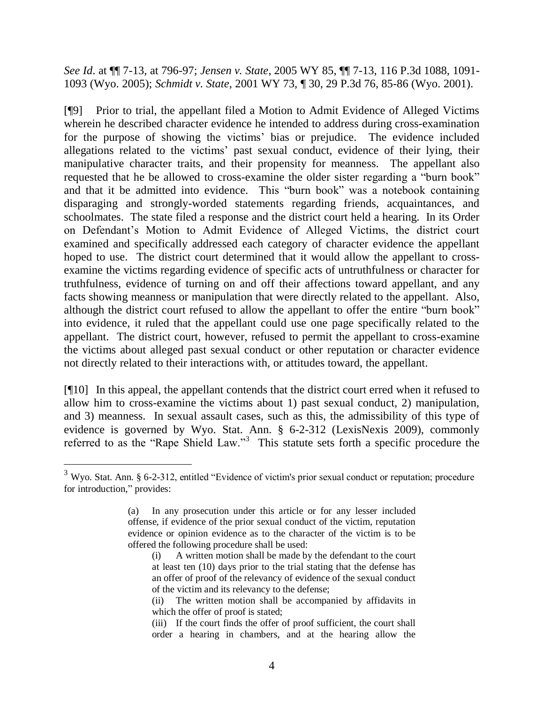*See Id*. at ¶¶ 7-13, at 796-97; *Jensen v. State*, 2005 WY 85, ¶¶ 7-13, 116 P.3d 1088, 1091- 1093 (Wyo. 2005); *Schmidt v. State*, 2001 WY 73, ¶ 30, 29 P.3d 76, 85-86 (Wyo. 2001).

[¶9] Prior to trial, the appellant filed a Motion to Admit Evidence of Alleged Victims wherein he described character evidence he intended to address during cross-examination for the purpose of showing the victims" bias or prejudice. The evidence included allegations related to the victims" past sexual conduct, evidence of their lying, their manipulative character traits, and their propensity for meanness. The appellant also requested that he be allowed to cross-examine the older sister regarding a "burn book" and that it be admitted into evidence. This "burn book" was a notebook containing disparaging and strongly-worded statements regarding friends, acquaintances, and schoolmates. The state filed a response and the district court held a hearing. In its Order on Defendant"s Motion to Admit Evidence of Alleged Victims, the district court examined and specifically addressed each category of character evidence the appellant hoped to use. The district court determined that it would allow the appellant to crossexamine the victims regarding evidence of specific acts of untruthfulness or character for truthfulness, evidence of turning on and off their affections toward appellant, and any facts showing meanness or manipulation that were directly related to the appellant. Also, although the district court refused to allow the appellant to offer the entire "burn book" into evidence, it ruled that the appellant could use one page specifically related to the appellant. The district court, however, refused to permit the appellant to cross-examine the victims about alleged past sexual conduct or other reputation or character evidence not directly related to their interactions with, or attitudes toward, the appellant.

[¶10] In this appeal, the appellant contends that the district court erred when it refused to allow him to cross-examine the victims about 1) past sexual conduct, 2) manipulation, and 3) meanness. In sexual assault cases, such as this, the admissibility of this type of evidence is governed by Wyo. Stat. Ann. § 6-2-312 (LexisNexis 2009), commonly referred to as the "Rape Shield Law."<sup>3</sup> This statute sets forth a specific procedure the

<sup>3</sup> Wyo. Stat. Ann. § 6-2-312, entitled "Evidence of victim's prior sexual conduct or reputation; procedure for introduction," provides:

<sup>(</sup>a) In any prosecution under this article or for any lesser included offense, if evidence of the prior sexual conduct of the victim, reputation evidence or opinion evidence as to the character of the victim is to be offered the following procedure shall be used:

<sup>(</sup>i) A written motion shall be made by the defendant to the court at least ten (10) days prior to the trial stating that the defense has an offer of proof of the relevancy of evidence of the sexual conduct of the victim and its relevancy to the defense;

<sup>(</sup>ii) The written motion shall be accompanied by affidavits in which the offer of proof is stated:

<sup>(</sup>iii) If the court finds the offer of proof sufficient, the court shall order a hearing in chambers, and at the hearing allow the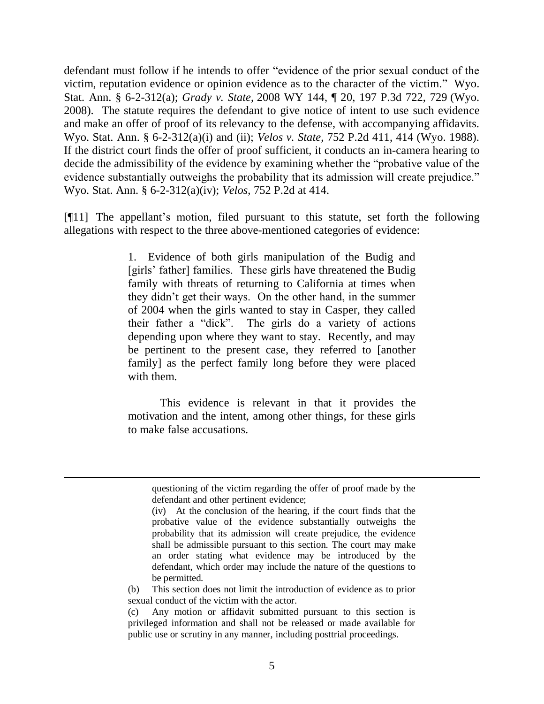defendant must follow if he intends to offer "evidence of the prior sexual conduct of the victim, reputation evidence or opinion evidence as to the character of the victim." Wyo. Stat. Ann. § 6-2-312(a); *Grady v. State*, 2008 WY 144, ¶ 20, 197 P.3d 722, 729 (Wyo. 2008). The statute requires the defendant to give notice of intent to use such evidence and make an offer of proof of its relevancy to the defense, with accompanying affidavits. Wyo. Stat. Ann. § 6-2-312(a)(i) and (ii); *Velos v. State*, 752 P.2d 411, 414 (Wyo. 1988). If the district court finds the offer of proof sufficient, it conducts an in-camera hearing to decide the admissibility of the evidence by examining whether the "probative value of the evidence substantially outweighs the probability that its admission will create prejudice." Wyo. Stat. Ann. § 6-2-312(a)(iv); *Velos*, 752 P.2d at 414.

[¶11] The appellant"s motion, filed pursuant to this statute, set forth the following allegations with respect to the three above-mentioned categories of evidence:

> 1. Evidence of both girls manipulation of the Budig and [girls' father] families. These girls have threatened the Budig family with threats of returning to California at times when they didn"t get their ways. On the other hand, in the summer of 2004 when the girls wanted to stay in Casper, they called their father a "dick". The girls do a variety of actions depending upon where they want to stay. Recently, and may be pertinent to the present case, they referred to [another family] as the perfect family long before they were placed with them.

> This evidence is relevant in that it provides the motivation and the intent, among other things, for these girls to make false accusations.

 $\overline{a}$ 

questioning of the victim regarding the offer of proof made by the defendant and other pertinent evidence;

<sup>(</sup>iv) At the conclusion of the hearing, if the court finds that the probative value of the evidence substantially outweighs the probability that its admission will create prejudice, the evidence shall be admissible pursuant to this section. The court may make an order stating what evidence may be introduced by the defendant, which order may include the nature of the questions to be permitted.

<sup>(</sup>b) This section does not limit the introduction of evidence as to prior sexual conduct of the victim with the actor.

<sup>(</sup>c) Any motion or affidavit submitted pursuant to this section is privileged information and shall not be released or made available for public use or scrutiny in any manner, including posttrial proceedings.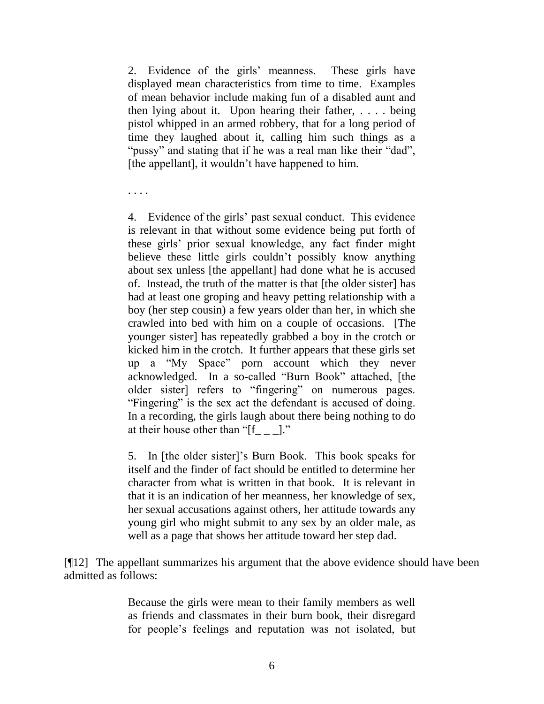2. Evidence of the girls" meanness. These girls have displayed mean characteristics from time to time. Examples of mean behavior include making fun of a disabled aunt and then lying about it. Upon hearing their father, . . . . being pistol whipped in an armed robbery, that for a long period of time they laughed about it, calling him such things as a "pussy" and stating that if he was a real man like their "dad", [the appellant], it wouldn't have happened to him.

. . . .

4. Evidence of the girls" past sexual conduct. This evidence is relevant in that without some evidence being put forth of these girls" prior sexual knowledge, any fact finder might believe these little girls couldn"t possibly know anything about sex unless [the appellant] had done what he is accused of. Instead, the truth of the matter is that [the older sister] has had at least one groping and heavy petting relationship with a boy (her step cousin) a few years older than her, in which she crawled into bed with him on a couple of occasions. [The younger sister] has repeatedly grabbed a boy in the crotch or kicked him in the crotch. It further appears that these girls set up a "My Space" porn account which they never acknowledged. In a so-called "Burn Book" attached, [the older sister] refers to "fingering" on numerous pages. "Fingering" is the sex act the defendant is accused of doing. In a recording, the girls laugh about there being nothing to do at their house other than " $[f_ \_ \_$ !"

5. In [the older sister]"s Burn Book. This book speaks for itself and the finder of fact should be entitled to determine her character from what is written in that book. It is relevant in that it is an indication of her meanness, her knowledge of sex, her sexual accusations against others, her attitude towards any young girl who might submit to any sex by an older male, as well as a page that shows her attitude toward her step dad.

[¶12] The appellant summarizes his argument that the above evidence should have been admitted as follows:

> Because the girls were mean to their family members as well as friends and classmates in their burn book, their disregard for people"s feelings and reputation was not isolated, but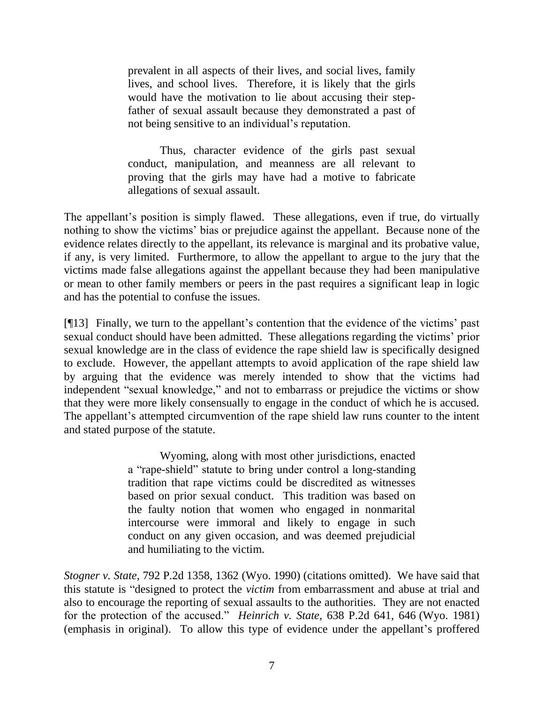prevalent in all aspects of their lives, and social lives, family lives, and school lives. Therefore, it is likely that the girls would have the motivation to lie about accusing their stepfather of sexual assault because they demonstrated a past of not being sensitive to an individual"s reputation.

Thus, character evidence of the girls past sexual conduct, manipulation, and meanness are all relevant to proving that the girls may have had a motive to fabricate allegations of sexual assault.

The appellant's position is simply flawed. These allegations, even if true, do virtually nothing to show the victims" bias or prejudice against the appellant. Because none of the evidence relates directly to the appellant, its relevance is marginal and its probative value, if any, is very limited. Furthermore, to allow the appellant to argue to the jury that the victims made false allegations against the appellant because they had been manipulative or mean to other family members or peers in the past requires a significant leap in logic and has the potential to confuse the issues.

[¶13] Finally, we turn to the appellant's contention that the evidence of the victims' past sexual conduct should have been admitted. These allegations regarding the victims' prior sexual knowledge are in the class of evidence the rape shield law is specifically designed to exclude. However, the appellant attempts to avoid application of the rape shield law by arguing that the evidence was merely intended to show that the victims had independent "sexual knowledge," and not to embarrass or prejudice the victims or show that they were more likely consensually to engage in the conduct of which he is accused. The appellant's attempted circumvention of the rape shield law runs counter to the intent and stated purpose of the statute.

> Wyoming, along with most other jurisdictions, enacted a "rape-shield" statute to bring under control a long-standing tradition that rape victims could be discredited as witnesses based on prior sexual conduct. This tradition was based on the faulty notion that women who engaged in nonmarital intercourse were immoral and likely to engage in such conduct on any given occasion, and was deemed prejudicial and humiliating to the victim.

*Stogner v. State*, 792 P.2d 1358, 1362 (Wyo. 1990) (citations omitted). We have said that this statute is "designed to protect the *victim* from embarrassment and abuse at trial and also to encourage the reporting of sexual assaults to the authorities. They are not enacted for the protection of the accused." *Heinrich v. State*, 638 P.2d 641, 646 (Wyo. 1981) (emphasis in original). To allow this type of evidence under the appellant"s proffered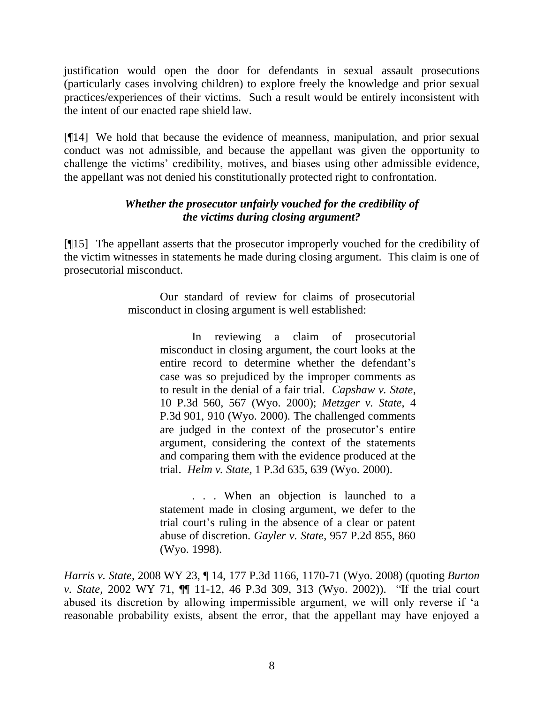justification would open the door for defendants in sexual assault prosecutions (particularly cases involving children) to explore freely the knowledge and prior sexual practices/experiences of their victims. Such a result would be entirely inconsistent with the intent of our enacted rape shield law.

[¶14] We hold that because the evidence of meanness, manipulation, and prior sexual conduct was not admissible, and because the appellant was given the opportunity to challenge the victims" credibility, motives, and biases using other admissible evidence, the appellant was not denied his constitutionally protected right to confrontation.

# *Whether the prosecutor unfairly vouched for the credibility of the victims during closing argument?*

[¶15] The appellant asserts that the prosecutor improperly vouched for the credibility of the victim witnesses in statements he made during closing argument. This claim is one of prosecutorial misconduct.

> Our standard of review for claims of prosecutorial misconduct in closing argument is well established:

> > In reviewing a claim of prosecutorial misconduct in closing argument, the court looks at the entire record to determine whether the defendant's case was so prejudiced by the improper comments as to result in the denial of a fair trial. *Capshaw v. State*, 10 P.3d 560, 567 (Wyo. 2000); *Metzger v. State*, 4 P.3d 901, 910 (Wyo. 2000). The challenged comments are judged in the context of the prosecutor's entire argument, considering the context of the statements and comparing them with the evidence produced at the trial. *Helm v. State*, 1 P.3d 635, 639 (Wyo. 2000).

> > . . . When an objection is launched to a statement made in closing argument, we defer to the trial court"s ruling in the absence of a clear or patent abuse of discretion. *Gayler v. State*, 957 P.2d 855, 860 (Wyo. 1998).

*Harris v. State*, 2008 WY 23, ¶ 14, 177 P.3d 1166, 1170-71 (Wyo. 2008) (quoting *Burton v. State*, 2002 WY 71, ¶¶ 11-12, 46 P.3d 309, 313 (Wyo. 2002)). "If the trial court abused its discretion by allowing impermissible argument, we will only reverse if "a reasonable probability exists, absent the error, that the appellant may have enjoyed a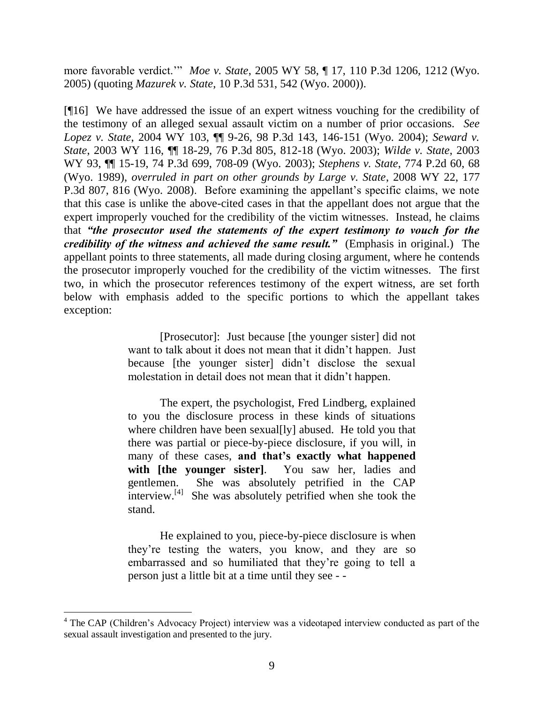more favorable verdict."" *Moe v. State*, 2005 WY 58, ¶ 17, 110 P.3d 1206, 1212 (Wyo. 2005) (quoting *Mazurek v. State*, 10 P.3d 531, 542 (Wyo. 2000)).

[¶16] We have addressed the issue of an expert witness vouching for the credibility of the testimony of an alleged sexual assault victim on a number of prior occasions. *See Lopez v. State*, 2004 WY 103, ¶¶ 9-26, 98 P.3d 143, 146-151 (Wyo. 2004); *Seward v. State*, 2003 WY 116, ¶¶ 18-29, 76 P.3d 805, 812-18 (Wyo. 2003); *Wilde v. State*, 2003 WY 93, ¶¶ 15-19, 74 P.3d 699, 708-09 (Wyo. 2003); *Stephens v. State*, 774 P.2d 60, 68 (Wyo. 1989), *overruled in part on other grounds by Large v. State*, 2008 WY 22, 177 P.3d 807, 816 (Wyo. 2008). Before examining the appellant's specific claims, we note that this case is unlike the above-cited cases in that the appellant does not argue that the expert improperly vouched for the credibility of the victim witnesses. Instead, he claims that *"the prosecutor used the statements of the expert testimony to vouch for the credibility of the witness and achieved the same result."* (Emphasis in original.) The appellant points to three statements, all made during closing argument, where he contends the prosecutor improperly vouched for the credibility of the victim witnesses. The first two, in which the prosecutor references testimony of the expert witness, are set forth below with emphasis added to the specific portions to which the appellant takes exception:

> [Prosecutor]: Just because [the younger sister] did not want to talk about it does not mean that it didn"t happen. Just because [the younger sister] didn"t disclose the sexual molestation in detail does not mean that it didn"t happen.

> The expert, the psychologist, Fred Lindberg, explained to you the disclosure process in these kinds of situations where children have been sexual[ly] abused. He told you that there was partial or piece-by-piece disclosure, if you will, in many of these cases, **and that's exactly what happened with [the younger sister]**. You saw her, ladies and gentlemen. She was absolutely petrified in the CAP interview.<sup>[4]</sup> She was absolutely petrified when she took the stand.

> He explained to you, piece-by-piece disclosure is when they"re testing the waters, you know, and they are so embarrassed and so humiliated that they"re going to tell a person just a little bit at a time until they see - -

<sup>&</sup>lt;sup>4</sup> The CAP (Children's Advocacy Project) interview was a videotaped interview conducted as part of the sexual assault investigation and presented to the jury.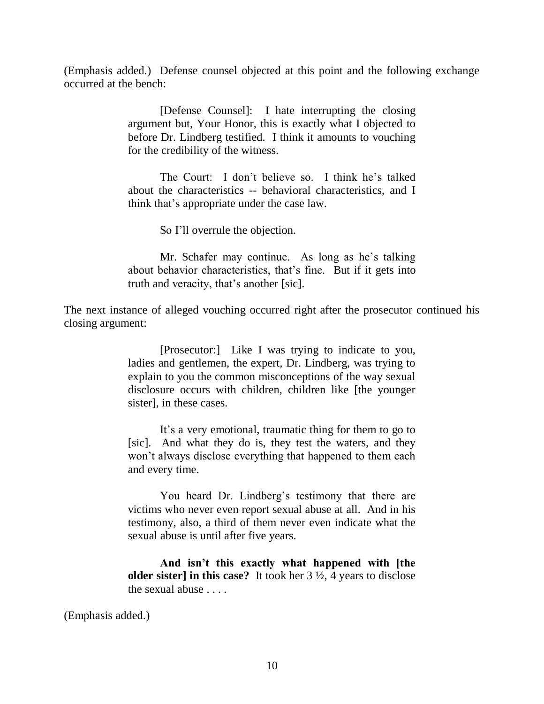(Emphasis added.) Defense counsel objected at this point and the following exchange occurred at the bench:

> [Defense Counsel]: I hate interrupting the closing argument but, Your Honor, this is exactly what I objected to before Dr. Lindberg testified. I think it amounts to vouching for the credibility of the witness.

> The Court: I don't believe so. I think he's talked about the characteristics -- behavioral characteristics, and I think that"s appropriate under the case law.

> > So I"ll overrule the objection.

Mr. Schafer may continue. As long as he"s talking about behavior characteristics, that"s fine. But if it gets into truth and veracity, that"s another [sic].

The next instance of alleged vouching occurred right after the prosecutor continued his closing argument:

> [Prosecutor:] Like I was trying to indicate to you, ladies and gentlemen, the expert, Dr. Lindberg, was trying to explain to you the common misconceptions of the way sexual disclosure occurs with children, children like [the younger sister], in these cases.

> It's a very emotional, traumatic thing for them to go to [sic]. And what they do is, they test the waters, and they won"t always disclose everything that happened to them each and every time.

> You heard Dr. Lindberg's testimony that there are victims who never even report sexual abuse at all. And in his testimony, also, a third of them never even indicate what the sexual abuse is until after five years.

> **And isn't this exactly what happened with [the older sister] in this case?** It took her 3 ½, 4 years to disclose the sexual abuse . . . .

(Emphasis added.)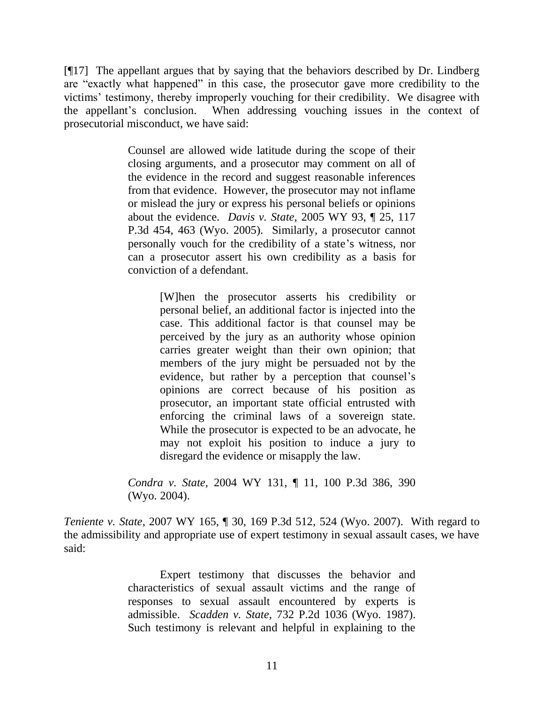[¶17] The appellant argues that by saying that the behaviors described by Dr. Lindberg are "exactly what happened" in this case, the prosecutor gave more credibility to the victims" testimony, thereby improperly vouching for their credibility. We disagree with the appellant's conclusion. When addressing vouching issues in the context of prosecutorial misconduct, we have said:

> Counsel are allowed wide latitude during the scope of their closing arguments, and a prosecutor may comment on all of the evidence in the record and suggest reasonable inferences from that evidence. However, the prosecutor may not inflame or mislead the jury or express his personal beliefs or opinions about the evidence. *Davis v. State*, 2005 WY 93, ¶ 25, 117 P.3d 454, 463 (Wyo. 2005). Similarly, a prosecutor cannot personally vouch for the credibility of a state"s witness, nor can a prosecutor assert his own credibility as a basis for conviction of a defendant.

> > [W]hen the prosecutor asserts his credibility or personal belief, an additional factor is injected into the case. This additional factor is that counsel may be perceived by the jury as an authority whose opinion carries greater weight than their own opinion; that members of the jury might be persuaded not by the evidence, but rather by a perception that counsel"s opinions are correct because of his position as prosecutor, an important state official entrusted with enforcing the criminal laws of a sovereign state. While the prosecutor is expected to be an advocate, he may not exploit his position to induce a jury to disregard the evidence or misapply the law.

*Condra v. State*, 2004 WY 131, ¶ 11, 100 P.3d 386, 390 (Wyo. 2004).

*Teniente v. State*, 2007 WY 165, ¶ 30, 169 P.3d 512, 524 (Wyo. 2007). With regard to the admissibility and appropriate use of expert testimony in sexual assault cases, we have said:

> Expert testimony that discusses the behavior and characteristics of sexual assault victims and the range of responses to sexual assault encountered by experts is admissible. *Scadden v. State*, 732 P.2d 1036 (Wyo. 1987). Such testimony is relevant and helpful in explaining to the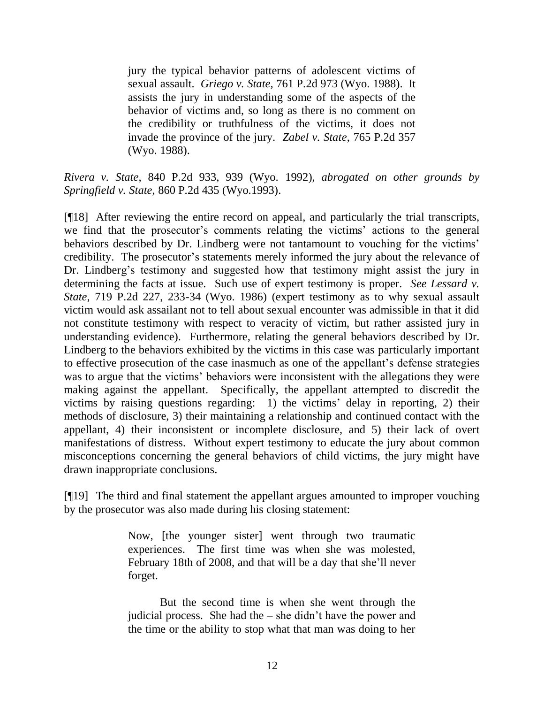jury the typical behavior patterns of adolescent victims of sexual assault. *Griego v. State*, 761 P.2d 973 (Wyo. 1988). It assists the jury in understanding some of the aspects of the behavior of victims and, so long as there is no comment on the credibility or truthfulness of the victims, it does not invade the province of the jury. *Zabel v. State*, 765 P.2d 357 (Wyo. 1988).

*Rivera v. State*, 840 P.2d 933, 939 (Wyo. 1992), *abrogated on other grounds by Springfield v. State*, 860 P.2d 435 (Wyo.1993).

[¶18] After reviewing the entire record on appeal, and particularly the trial transcripts, we find that the prosecutor's comments relating the victims' actions to the general behaviors described by Dr. Lindberg were not tantamount to vouching for the victims' credibility. The prosecutor's statements merely informed the jury about the relevance of Dr. Lindberg's testimony and suggested how that testimony might assist the jury in determining the facts at issue. Such use of expert testimony is proper. *See Lessard v. State*, 719 P.2d 227, 233-34 (Wyo. 1986) (expert testimony as to why sexual assault victim would ask assailant not to tell about sexual encounter was admissible in that it did not constitute testimony with respect to veracity of victim, but rather assisted jury in understanding evidence). Furthermore, relating the general behaviors described by Dr. Lindberg to the behaviors exhibited by the victims in this case was particularly important to effective prosecution of the case inasmuch as one of the appellant"s defense strategies was to argue that the victims' behaviors were inconsistent with the allegations they were making against the appellant. Specifically, the appellant attempted to discredit the victims by raising questions regarding: 1) the victims' delay in reporting, 2) their methods of disclosure, 3) their maintaining a relationship and continued contact with the appellant, 4) their inconsistent or incomplete disclosure, and 5) their lack of overt manifestations of distress. Without expert testimony to educate the jury about common misconceptions concerning the general behaviors of child victims, the jury might have drawn inappropriate conclusions.

[¶19] The third and final statement the appellant argues amounted to improper vouching by the prosecutor was also made during his closing statement:

> Now, [the younger sister] went through two traumatic experiences. The first time was when she was molested, February 18th of 2008, and that will be a day that she"ll never forget.

> But the second time is when she went through the judicial process. She had the – she didn"t have the power and the time or the ability to stop what that man was doing to her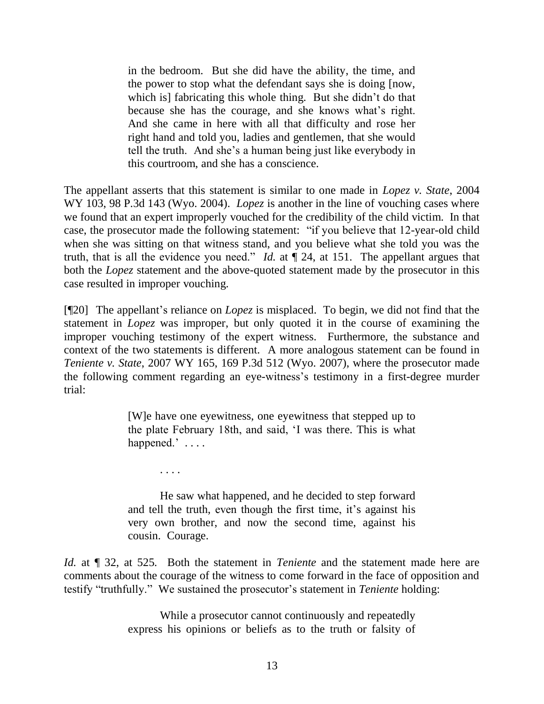in the bedroom. But she did have the ability, the time, and the power to stop what the defendant says she is doing [now, which is fabricating this whole thing. But she didn't do that because she has the courage, and she knows what"s right. And she came in here with all that difficulty and rose her right hand and told you, ladies and gentlemen, that she would tell the truth. And she"s a human being just like everybody in this courtroom, and she has a conscience.

The appellant asserts that this statement is similar to one made in *Lopez v. State*, 2004 WY 103, 98 P.3d 143 (Wyo. 2004). *Lopez* is another in the line of vouching cases where we found that an expert improperly vouched for the credibility of the child victim. In that case, the prosecutor made the following statement: "if you believe that 12-year-old child when she was sitting on that witness stand, and you believe what she told you was the truth, that is all the evidence you need." *Id.* at  $\llbracket 24$ , at 151. The appellant argues that both the *Lopez* statement and the above-quoted statement made by the prosecutor in this case resulted in improper vouching.

[¶20] The appellant"s reliance on *Lopez* is misplaced. To begin, we did not find that the statement in *Lopez* was improper, but only quoted it in the course of examining the improper vouching testimony of the expert witness. Furthermore, the substance and context of the two statements is different. A more analogous statement can be found in *Teniente v. State*, 2007 WY 165, 169 P.3d 512 (Wyo. 2007), where the prosecutor made the following comment regarding an eye-witness"s testimony in a first-degree murder trial:

> [W]e have one eyewitness, one eyewitness that stepped up to the plate February 18th, and said, "I was there. This is what happened.' ....

. . . .

He saw what happened, and he decided to step forward and tell the truth, even though the first time, it's against his very own brother, and now the second time, against his cousin. Courage.

*Id.* at  $\llbracket$  32, at 525. Both the statement in *Teniente* and the statement made here are comments about the courage of the witness to come forward in the face of opposition and testify "truthfully." We sustained the prosecutor's statement in *Teniente* holding:

> While a prosecutor cannot continuously and repeatedly express his opinions or beliefs as to the truth or falsity of